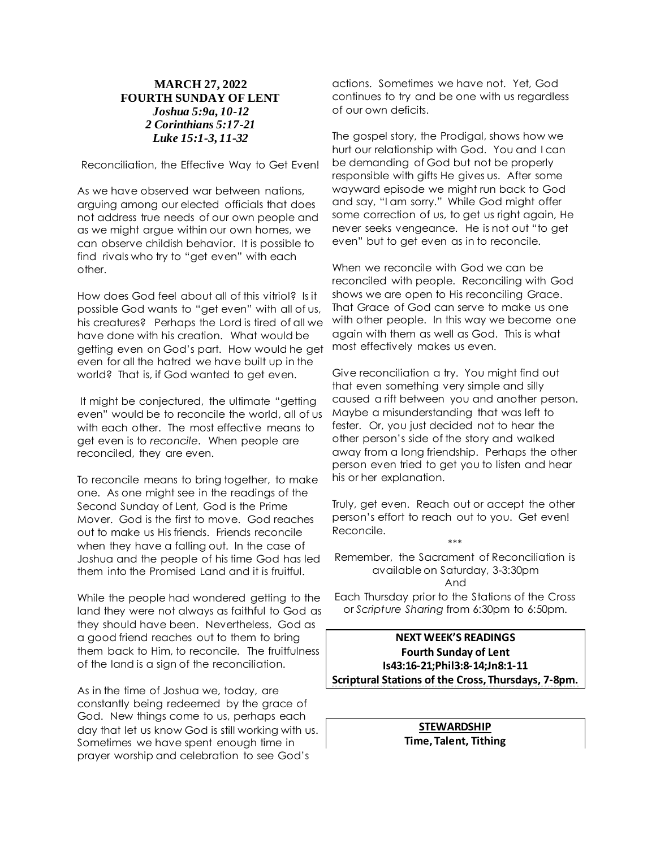## **MARCH 27, 2022 FOURTH SUNDAY OF LENT** *Joshua 5:9a, 10-12 2 Corinthians 5:17-21 Luke 15:1-3, 11-32*

Reconciliation, the Effective Way to Get Even!

As we have observed war between nations, arguing among our elected officials that does not address true needs of our own people and as we might argue within our own homes, we can observe childish behavior. It is possible to find rivals who try to "get even" with each other.

How does God feel about all of this vitriol? Is it possible God wants to "get even" with all of us, his creatures? Perhaps the Lord is tired of all we have done with his creation. What would be getting even on God's part. How would he get even for all the hatred we have built up in the world? That is, if God wanted to get even.

It might be conjectured, the ultimate "getting" even" would be to reconcile the world, all of us with each other. The most effective means to get even is to *reconcile*. When people are reconciled, they are even.

To reconcile means to bring together, to make one. As one might see in the readings of the Second Sunday of Lent, God is the Prime Mover. God is the first to move. God reaches out to make us His friends. Friends reconcile when they have a falling out. In the case of Joshua and the people of his time God has led them into the Promised Land and it is fruitful.

While the people had wondered getting to the land they were not always as faithful to God as they should have been. Nevertheless, God as a good friend reaches out to them to bring them back to Him, to reconcile. The fruitfulness of the land is a sign of the reconciliation.

As in the time of Joshua we, today, are constantly being redeemed by the grace of God. New things come to us, perhaps each day that let us know God is still working with us. Sometimes we have spent enough time in prayer worship and celebration to see God's

actions. Sometimes we have not. Yet, God continues to try and be one with us regardless of our own deficits.

The gospel story, the Prodigal, shows how we hurt our relationship with God. You and I can be demanding of God but not be properly responsible with gifts He gives us. After some wayward episode we might run back to God and say, "I am sorry." While God might offer some correction of us, to get us right again, He never seeks vengeance. He is not out "to get even" but to get even as in to reconcile.

When we reconcile with God we can be reconciled with people. Reconciling with God shows we are open to His reconciling Grace. That Grace of God can serve to make us one with other people. In this way we become one again with them as well as God. This is what most effectively makes us even.

Give reconciliation a try. You might find out that even something very simple and silly caused a rift between you and another person. Maybe a misunderstanding that was left to fester. Or, you just decided not to hear the other person's side of the story and walked away from a long friendship. Perhaps the other person even tried to get you to listen and hear his or her explanation.

Truly, get even. Reach out or accept the other person's effort to reach out to you. Get even! Reconcile.

\*\*\* Remember, the Sacrament of Reconciliation is available on Saturday, 3-3:30pm And Each Thursday prior to the Stations of the Cross or *Scripture Sharing* from 6:30pm to 6:50pm.

**NEXT WEEK'S READINGS Fourth Sunday of Lent Is43:16-21;Phil3:8-14;Jn8:1-11 Scriptural Stations of the Cross, Thursdays, 7-8pm.**

> **STEWARDSHIP Time, Talent, Tithing**